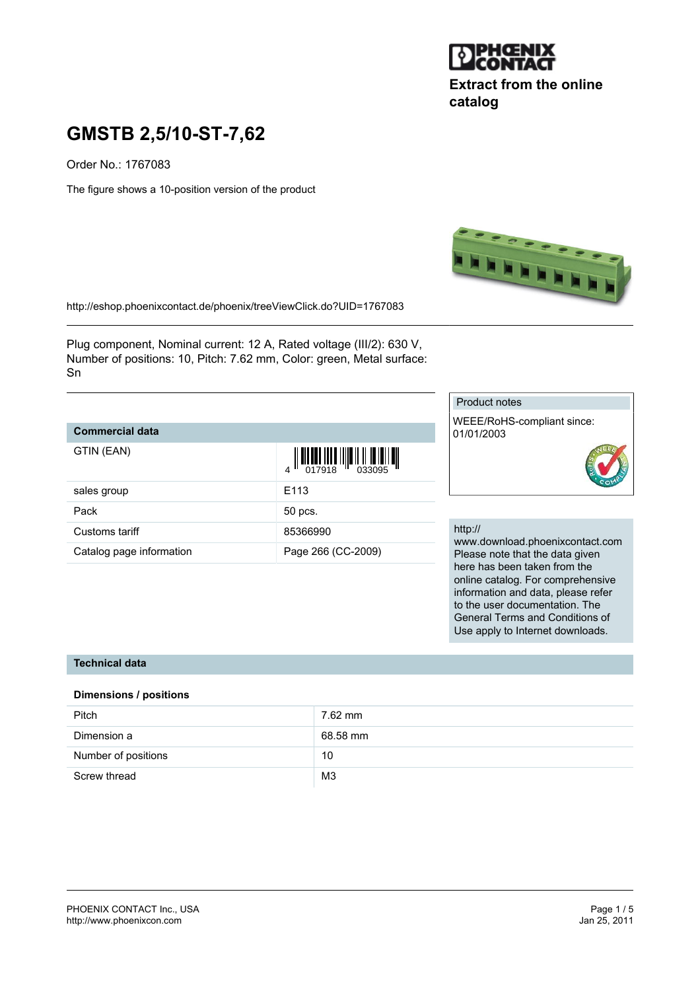

**Extract from the online catalog**

# **GMSTB 2,5/10-ST-7,62**

Order No.: 1767083

The figure shows a 10-position version of the product



<http://eshop.phoenixcontact.de/phoenix/treeViewClick.do?UID=1767083>

Plug component, Nominal current: 12 A, Rated voltage (III/2): 630 V, Number of positions: 10, Pitch: 7.62 mm, Color: green, Metal surface: Sn

## **Commercial data**

| GTIN (EAN)               | $\begin{array}{c} \begin{array}{c} \end{array} \begin{array}{c} \end{array} \begin{array}{c} \begin{array}{c} \end{array} \begin{array}{c} \end{array} \begin{array}{c} \end{array} \begin{array}{c} \end{array} \begin{array}{c} \end{array} \begin{array}{c} \end{array} \begin{array}{c} \end{array} \begin{array}{c} \end{array} \begin{array}{c} \end{array} \begin{array}{c} \end{array} \begin{array}{c} \end{array} \begin{array}{c} \end{array} \begin{array}{c} \end{array} \begin{array}{c} \end{array} \begin{array}{c} \end{array} \begin$ |
|--------------------------|---------------------------------------------------------------------------------------------------------------------------------------------------------------------------------------------------------------------------------------------------------------------------------------------------------------------------------------------------------------------------------------------------------------------------------------------------------------------------------------------------------------------------------------------------------|
| sales group              | F <sub>113</sub>                                                                                                                                                                                                                                                                                                                                                                                                                                                                                                                                        |
| Pack                     | 50 pcs.                                                                                                                                                                                                                                                                                                                                                                                                                                                                                                                                                 |
| Customs tariff           | 85366990                                                                                                                                                                                                                                                                                                                                                                                                                                                                                                                                                |
| Catalog page information | Page 266 (CC-2009)                                                                                                                                                                                                                                                                                                                                                                                                                                                                                                                                      |

#### Product notes

WEEE/RoHS-compliant since: 01/01/2003



#### http://

www.download.phoenixcontact.com Please note that the data given here has been taken from the online catalog. For comprehensive information and data, please refer to the user documentation. The General Terms and Conditions of Use apply to Internet downloads.

## **Technical data**

#### **Dimensions / positions**

| Pitch               | 7.62 mm        |
|---------------------|----------------|
| Dimension a         | 68.58 mm       |
| Number of positions | 10             |
| Screw thread        | M <sub>3</sub> |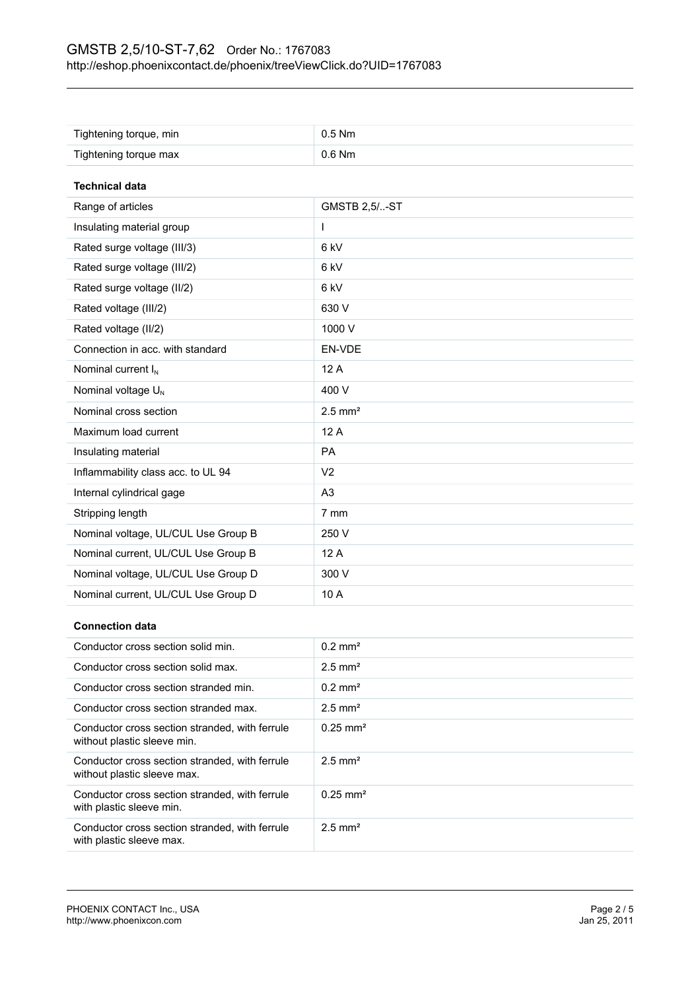| Tightening torque, min              | $0.5$ Nm              |  |
|-------------------------------------|-----------------------|--|
| Tightening torque max               | 0.6 Nm                |  |
|                                     |                       |  |
| <b>Technical data</b>               |                       |  |
| Range of articles                   | <b>GMSTB 2,5/-ST</b>  |  |
| Insulating material group           | L                     |  |
| Rated surge voltage (III/3)         | 6 kV                  |  |
| Rated surge voltage (III/2)         | 6 kV                  |  |
| Rated surge voltage (II/2)          | 6 kV                  |  |
| Rated voltage (III/2)               | 630 V                 |  |
| Rated voltage (II/2)                | 1000 V                |  |
| Connection in acc. with standard    | EN-VDE                |  |
| Nominal current I <sub>N</sub>      | 12 A                  |  |
| Nominal voltage U <sub>N</sub>      | 400 V                 |  |
| Nominal cross section               | $2.5$ mm <sup>2</sup> |  |
| Maximum load current                | 12A                   |  |
| Insulating material                 | PA                    |  |
| Inflammability class acc. to UL 94  | V <sub>2</sub>        |  |
| Internal cylindrical gage           | A <sub>3</sub>        |  |
| Stripping length                    | 7 mm                  |  |
| Nominal voltage, UL/CUL Use Group B | 250 V                 |  |
| Nominal current, UL/CUL Use Group B | 12 A                  |  |
| Nominal voltage, UL/CUL Use Group D | 300 V                 |  |
| Nominal current, UL/CUL Use Group D | 10 A                  |  |

## **Connection data**

| Conductor cross section solid min.                                            | $0.2$ mm <sup>2</sup>  |
|-------------------------------------------------------------------------------|------------------------|
| Conductor cross section solid max.                                            | $2.5$ mm <sup>2</sup>  |
| Conductor cross section stranded min.                                         | $0.2$ mm <sup>2</sup>  |
| Conductor cross section stranded max.                                         | $2.5$ mm <sup>2</sup>  |
| Conductor cross section stranded, with ferrule<br>without plastic sleeve min. | $0.25$ mm <sup>2</sup> |
| Conductor cross section stranded, with ferrule<br>without plastic sleeve max. | $2.5$ mm <sup>2</sup>  |
| Conductor cross section stranded, with ferrule<br>with plastic sleeve min.    | $0.25$ mm <sup>2</sup> |
| Conductor cross section stranded, with ferrule<br>with plastic sleeve max.    | $2.5$ mm <sup>2</sup>  |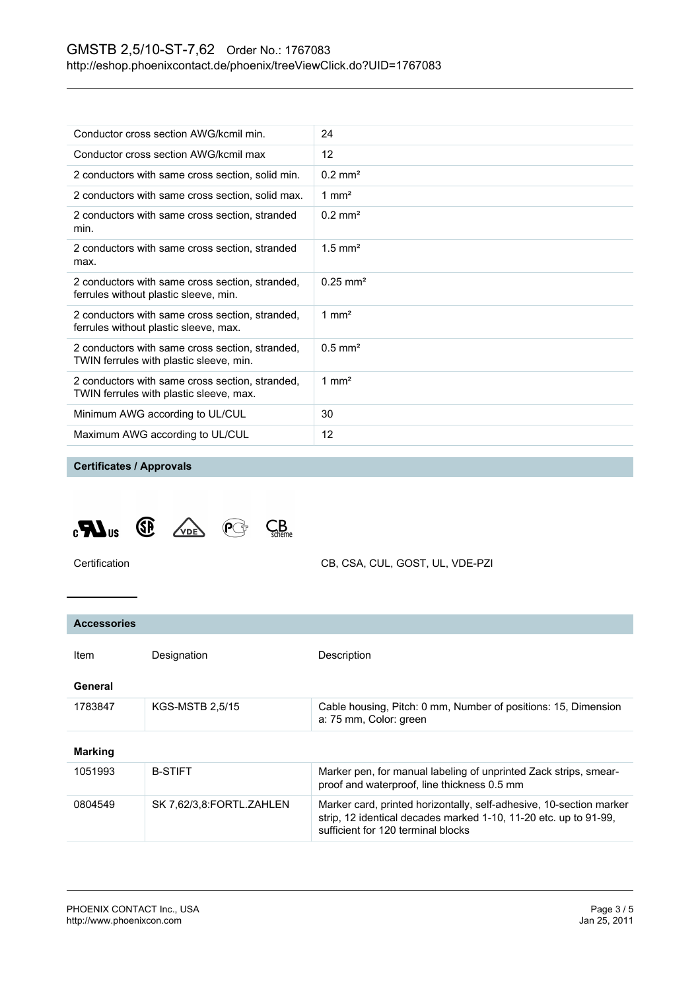| Conductor cross section AWG/kcmil min.                                                     | 24                    |
|--------------------------------------------------------------------------------------------|-----------------------|
| Conductor cross section AWG/kcmil max                                                      | 12                    |
| 2 conductors with same cross section, solid min.                                           | $0.2 \text{ mm}^2$    |
| 2 conductors with same cross section, solid max.                                           | 1 mm <sup>2</sup>     |
| 2 conductors with same cross section, stranded<br>min.                                     | $0.2 \text{ mm}^2$    |
| 2 conductors with same cross section, stranded<br>max.                                     | $1.5$ mm <sup>2</sup> |
| 2 conductors with same cross section, stranded,<br>ferrules without plastic sleeve, min.   | $0.25 \text{ mm}^2$   |
| 2 conductors with same cross section, stranded,<br>ferrules without plastic sleeve, max.   | 1 mm <sup>2</sup>     |
| 2 conductors with same cross section, stranded,<br>TWIN ferrules with plastic sleeve, min. | $0.5$ mm <sup>2</sup> |
| 2 conductors with same cross section, stranded,<br>TWIN ferrules with plastic sleeve, max. | 1 mm <sup>2</sup>     |
| Minimum AWG according to UL/CUL                                                            | 30                    |
| Maximum AWG according to UL/CUL                                                            | 12                    |
|                                                                                            |                       |

#### **Certificates / Approvals**



Certification CB, CSA, CUL, GOST, UL, VDE-PZI

## **Accessories** Item Designation Description **General** 1783847 KGS-MSTB 2,5/15 Cable housing, Pitch: 0 mm, Number of positions: 15, Dimension a: 75 mm, Color: green **Marking** 1051993 B-STIFT BERTHER Marker pen, for manual labeling of unprinted Zack strips, smearproof and waterproof, line thickness 0.5 mm 0804549 SK 7,62/3,8:FORTL.ZAHLEN Marker card, printed horizontally, self-adhesive, 10-section marker strip, 12 identical decades marked 1-10, 11-20 etc. up to 91-99, sufficient for 120 terminal blocks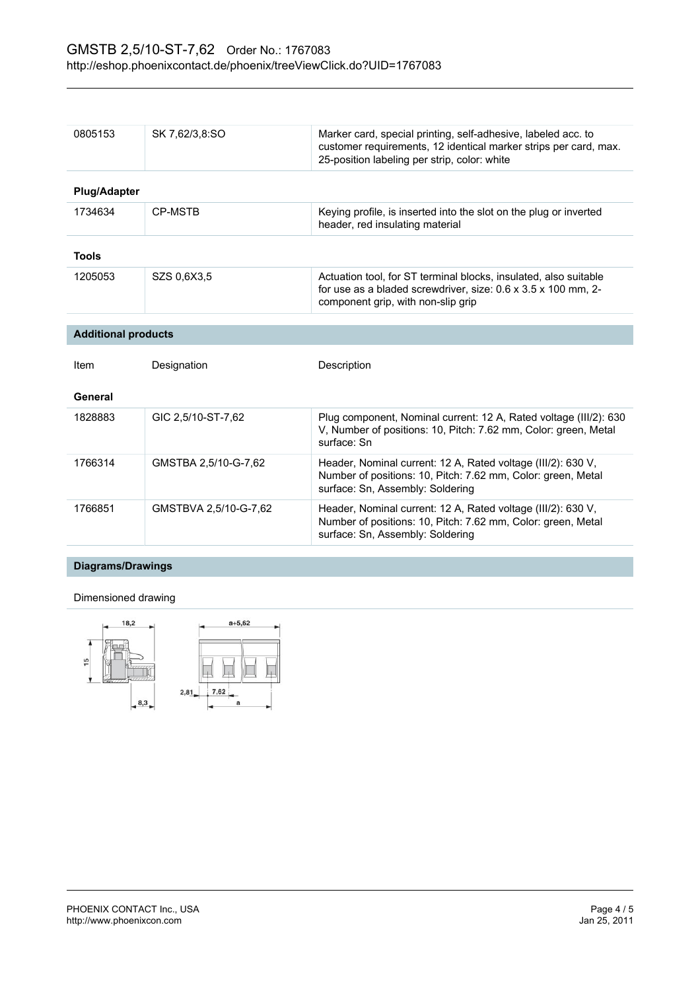| 0805153                    | SK 7,62/3,8:SO        | Marker card, special printing, self-adhesive, labeled acc. to<br>customer requirements, 12 identical marker strips per card, max.<br>25-position labeling per strip, color: white |
|----------------------------|-----------------------|-----------------------------------------------------------------------------------------------------------------------------------------------------------------------------------|
| <b>Plug/Adapter</b>        |                       |                                                                                                                                                                                   |
| 1734634                    | <b>CP-MSTB</b>        | Keying profile, is inserted into the slot on the plug or inverted<br>header, red insulating material                                                                              |
| <b>Tools</b>               |                       |                                                                                                                                                                                   |
| 1205053                    | SZS 0.6X3.5           | Actuation tool, for ST terminal blocks, insulated, also suitable<br>for use as a bladed screwdriver, size: 0.6 x 3.5 x 100 mm, 2-<br>component grip, with non-slip grip           |
|                            |                       |                                                                                                                                                                                   |
| <b>Additional products</b> |                       |                                                                                                                                                                                   |
| Item                       | Designation           | Description                                                                                                                                                                       |
| General                    |                       |                                                                                                                                                                                   |
| 1828883                    | GIC 2,5/10-ST-7,62    | Plug component, Nominal current: 12 A, Rated voltage (III/2): 630<br>V, Number of positions: 10, Pitch: 7.62 mm, Color: green, Metal<br>surface: Sn                               |
| 1766314                    | GMSTBA 2,5/10-G-7,62  | Header, Nominal current: 12 A, Rated voltage (III/2): 630 V,<br>Number of positions: 10, Pitch: 7.62 mm, Color: green, Metal<br>surface: Sn, Assembly: Soldering                  |
| 1766851                    | GMSTBVA 2,5/10-G-7,62 | Header, Nominal current: 12 A, Rated voltage (III/2): 630 V,<br>Number of positions: 10, Pitch: 7.62 mm, Color: green, Metal<br>surface: Sn, Assembly: Soldering                  |

## **Diagrams/Drawings**

## Dimensioned drawing